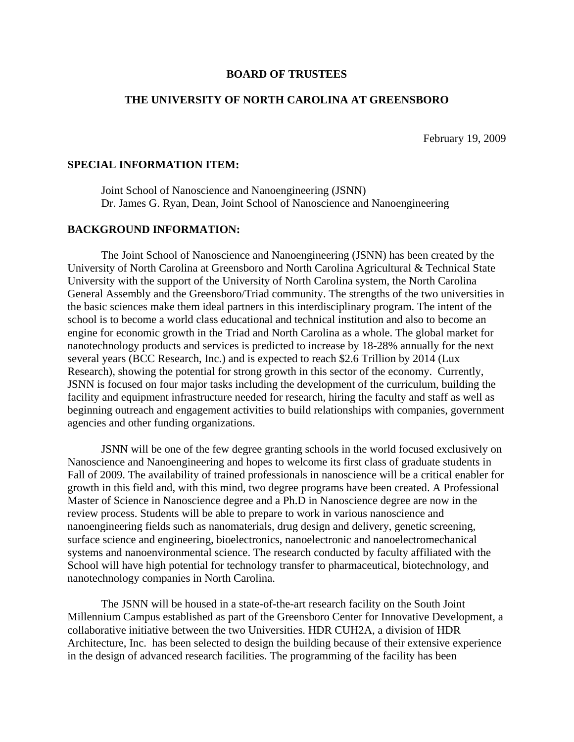## **BOARD OF TRUSTEES**

## **THE UNIVERSITY OF NORTH CAROLINA AT GREENSBORO**

February 19, 2009

## **SPECIAL INFORMATION ITEM:**

 Joint School of Nanoscience and Nanoengineering (JSNN) Dr. James G. Ryan, Dean, Joint School of Nanoscience and Nanoengineering

## **BACKGROUND INFORMATION:**

 The Joint School of Nanoscience and Nanoengineering (JSNN) has been created by the University of North Carolina at Greensboro and North Carolina Agricultural & Technical State University with the support of the University of North Carolina system, the North Carolina General Assembly and the Greensboro/Triad community. The strengths of the two universities in the basic sciences make them ideal partners in this interdisciplinary program. The intent of the school is to become a world class educational and technical institution and also to become an engine for economic growth in the Triad and North Carolina as a whole. The global market for nanotechnology products and services is predicted to increase by 18-28% annually for the next several years (BCC Research, Inc.) and is expected to reach \$2.6 Trillion by 2014 (Lux Research), showing the potential for strong growth in this sector of the economy. Currently, JSNN is focused on four major tasks including the development of the curriculum, building the facility and equipment infrastructure needed for research, hiring the faculty and staff as well as beginning outreach and engagement activities to build relationships with companies, government agencies and other funding organizations.

 JSNN will be one of the few degree granting schools in the world focused exclusively on Nanoscience and Nanoengineering and hopes to welcome its first class of graduate students in Fall of 2009. The availability of trained professionals in nanoscience will be a critical enabler for growth in this field and, with this mind, two degree programs have been created. A Professional Master of Science in Nanoscience degree and a Ph.D in Nanoscience degree are now in the review process. Students will be able to prepare to work in various nanoscience and nanoengineering fields such as nanomaterials, drug design and delivery, genetic screening, surface science and engineering, bioelectronics, nanoelectronic and nanoelectromechanical systems and nanoenvironmental science. The research conducted by faculty affiliated with the School will have high potential for technology transfer to pharmaceutical, biotechnology, and nanotechnology companies in North Carolina.

 The JSNN will be housed in a state-of-the-art research facility on the South Joint Millennium Campus established as part of the Greensboro Center for Innovative Development, a collaborative initiative between the two Universities. HDR CUH2A, a division of HDR Architecture, Inc. has been selected to design the building because of their extensive experience in the design of advanced research facilities. The programming of the facility has been